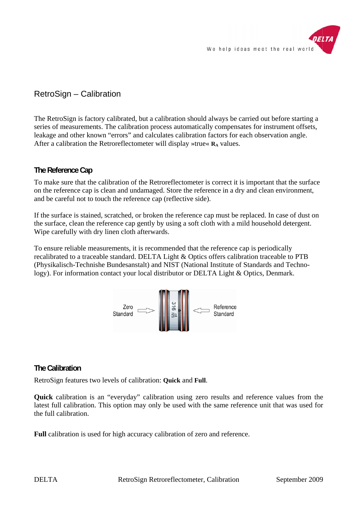

# RetroSign - Calibration

The RetroSign is factory calibrated, but a calibration should always be carried out before starting a series of measurements. The calibration process automatically compensates for instrument offsets, leakage and other known "errors" and calculates calibration factors for each observation angle. After a calibration the Retroreflectometer will display »true«  $\mathbf{R}_{A}$  values.

# The Reference Cap

To make sure that the calibration of the Retroreflectometer is correct it is important that the surface on the reference cap is clean and undamaged. Store the reference in a dry and clean environment, and be careful not to touch the reference cap (reflective side).

If the surface is stained, scratched, or broken the reference cap must be replaced. In case of dust on the surface, clean the reference cap gently by using a soft cloth with a mild household detergent. Wipe carefully with dry linen cloth afterwards.

To ensure reliable measurements, it is recommended that the reference cap is periodically recalibrated to a traceable standard. DELTA Light & Optics offers calibration traceable to PTB (Physikalisch-Technishe Bundesanstalt) and NIST (National Institute of Standards and Technology). For information contact your local distributor or DELTA Light & Optics, Denmark.



# The Calibration

RetroSign features two levels of calibration: Quick and Full.

Quick calibration is an "everyday" calibration using zero results and reference values from the latest full calibration. This option may only be used with the same reference unit that was used for the full calibration.

**Full** calibration is used for high accuracy calibration of zero and reference.